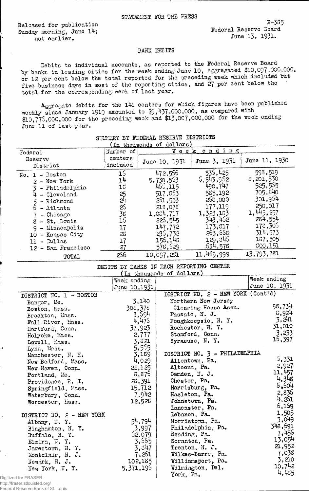Released, for publication Sunday morning, June 14; not earlier.

B-3S5 Federal Reservo Board June 13, 1931.

## BANK DEEHTS

Debits to individual accounts, as reported to the Federal Reserve Board by banks in leading cities for the week ending June 10, aggregated \$10,097,000,000, or 12 per cent below the total reported for the preceding week which included but five business days in most of the reporting cities, and 27 per cent below the total for the corresponding week of last year.

Aggregate debits for the 141 centers for which figures have been published weekly since January 1919 amounted to \$9,437,000,000, as compared with \$10,775,000,000 for the preceding week and \$13,007,000,000 for the week ending June 11 of last year.

| In thousands of dollars)                                                                                                                                                                        |                                                                 |                                                                                                                            |                                                                                                                                      |                                                                                                                                      |  |  |
|-------------------------------------------------------------------------------------------------------------------------------------------------------------------------------------------------|-----------------------------------------------------------------|----------------------------------------------------------------------------------------------------------------------------|--------------------------------------------------------------------------------------------------------------------------------------|--------------------------------------------------------------------------------------------------------------------------------------|--|--|
| Federal                                                                                                                                                                                         | Number of                                                       | Week ending                                                                                                                |                                                                                                                                      |                                                                                                                                      |  |  |
| Reserve<br>District                                                                                                                                                                             | centers<br>included                                             | June 10, 1931                                                                                                              | June 3, 1931                                                                                                                         | June 11, 1930                                                                                                                        |  |  |
| $No. 1 - Boston$<br>$2 - New York$<br>- Philadelphia<br>- Cleveland<br>- Richmond<br>5.<br>$-$ Atlanta<br>$-$ Chicago<br>$8 - St.$ Louis<br>- Minneapolis<br>- Kansas City<br>10<br>11 - Dallas | 15<br>14<br>13<br>25<br>571<br>25<br>38<br>16<br>17<br>23<br>17 | 472,556<br>5,730,553<br>465, 115<br>517,863<br>251,553<br>213,078<br>1.084.717<br>225,545<br>147,772<br>235,732<br>156,148 | 535,425<br>5,543,952<br>490.747<br>585,192<br>265,000<br>177,119<br>1,323,133<br>343,462<br>173.317<br>263,668<br>129,846<br>634,578 | 593,519<br>8,201,530<br>525,555<br>705,540<br>301,954<br>250,017<br>1.445,257<br>234,554<br>178,305<br>314,573<br>137,505<br>500,151 |  |  |
| 12 - San Francisco                                                                                                                                                                              | 27<br>255                                                       | 578,529<br>10,097,231                                                                                                      | 11,469,999                                                                                                                           | 13,793,781                                                                                                                           |  |  |
| TOTAL                                                                                                                                                                                           |                                                                 |                                                                                                                            |                                                                                                                                      |                                                                                                                                      |  |  |

SUMMARY BY FEDERAL RESERVE DISTRICTS

## DEBITS BY BANKS IN EACH REPORTING CENTER (In thousands of dollars)

|                           | Week ending   |                                    | Week ending   |
|---------------------------|---------------|------------------------------------|---------------|
|                           | June 10,1931  |                                    | June 10, 1931 |
| DISTRICT NO. 1 - BOSTON   |               | DISTRICT NO. 2 - NEW YORK (Cont'd) |               |
| Bangor, Me.               | 3.140         | Northern New Jersey                |               |
| Boston, Mass.             | 308,378       | Clearing House Assn.               | 58,734        |
| Brockton, Mass.           | 3,594         | Passaic, N. J.                     | 3,924         |
| Fall River, Mass.         | 4,475         | Poughkeepsie, N.Y.                 | 3,241         |
| Hartford, Conn.           | 37.923        | Rochester, N.Y.                    | 31,010        |
| Holyoke, Mass.            | 2,777         | Stamford, Conn.                    | 3,233         |
| Lowell, Mass.             | 3,821         | Syracuse, N.Y.                     | 15,397        |
| Lynn, Mass.               | 5,555         |                                    |               |
| Manchester, N. H.         | 3,189         | DISTRICT NO. 3 - PHILADELPHIA      |               |
| New Bedford, Mass.        | 4,029         | Allentown, Pa.                     | 5,331         |
| New Haven, Conn.          | 22,125        | Altoona, Pa.                       | 2,927         |
| Portland, Me.             | 3,875         | Canden, N. J.                      | 11,457        |
| Providence, R. I.         | 28,391        | Chester, Pa.                       | 4,348         |
| Springfield, Mass.        | 15,712        | Harrisburg, Pa.                    | 5.504         |
| Waterbury, Conn.          | 7,942         | Hazleton, Pa.                      | 2,836         |
| Worcester, Mass.          | 12,528        | Johnstown, Pa.                     | 4,251         |
|                           |               | Lancaster, Pa.                     | 6,159         |
| DISTRICT NO. 2 - NEW YORK |               | Lebanon, Pa.                       | 1,505         |
| Albany, N.Y.              | 54,794        | Morristown, Pa.                    | 3,049         |
| Binghamton, N.Y.          | 3,997         | Philadelphia, Pa.                  | 348,691       |
| Buffalo, N.Y.             | <b>S2,079</b> | Reading, Pa.                       | 7,456         |
| Elmira, N.Y.              | 3,565         | Scranton, Fa.                      | 13,054        |
| Jamestown, N.Y.           | 3,347         | Trenton, N. J.                     | 2,952         |
| Montclair, N. J.          | 7,251         | Wilkes-Barre, Pa.                  | 7,038         |
| Newark, N. J.             | 102,185       | Williamsport, Pa.                  | 3,210         |
| New York, N.Y.            | 5,371,195     | Wilmington, Del.                   | 10,742        |
| Digitized for FRASER      |               | York, Pa.                          | 4,435         |

http://fraser.stlouisfed.org/

Federal Reserve Bank of St. Louis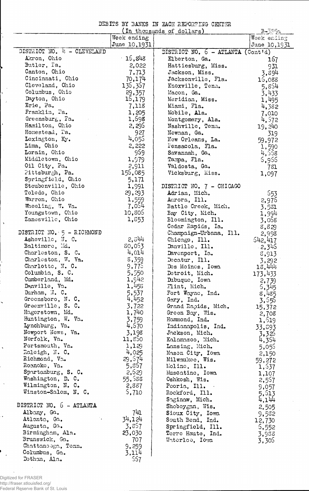DEBITS BY BANKS IN EACH REPORTING CENTER

|                              |              | In thousands of dollars)                          | B-385a       |
|------------------------------|--------------|---------------------------------------------------|--------------|
|                              | Week ending  |                                                   | Week ending  |
|                              | June 10,1931 |                                                   | June 10,1931 |
| DISTRICT NO. 4 - CLEVELAND   |              | DISTRICT NO. $6 - \text{ATLANTA} (\text{Contid})$ |              |
| Akron, Ohio                  | $-15,843$    | Elberton, Ga.                                     | 167          |
| Butler, Fa.                  | 2,022        | Hattiesburg, Miss.                                | 931          |
| Canton, Ohio                 | 7,713        | Jackson, Miss.                                    | 3,894        |
| Cincinnati, Ohio             | 70,174       | Jacksonville, Fla.                                | 15,088       |
| Cleveland, Ohio              | 136,367      | Knoxville, Tenn.                                  | 5,854        |
| Columbus, Ohio               | 29,357       | Macon, Ga.                                        | 3.433        |
| Dayton, Ohio                 | 16,179       | Meridian, Miss.                                   |              |
| Erie, Pa.                    | 7,118        | Miami, Fla.                                       | 1,495        |
| Franklin, Pa.                |              |                                                   | 4,382        |
|                              | 1,205        | Mobile, Ala.                                      | 7,010        |
| Greensburg, Fa.              | 1,698        | Montgomery, Ala.                                  | 4,572        |
| Hamilton, Ohio               | 2,295        | Nashville, Tenn.                                  | 19,240       |
| Homestead, Ta.               | 927          | Newnan, Ga.                                       | 319          |
| Lexington, Ky.               | 4,055        | New Orleans, La.                                  | 59,972       |
| Lima, Ohio                   | 2,222        | Fensacola, Fla.                                   | 1,590        |
| Lorain, Ohio                 | 959          | Savannah, Ga.                                     | 4,558        |
| Middletown, Ohio             | 1,979        | Tampa, Fla.                                       | 5,956        |
| Oil City, Pa.                | 2,911        | Valdosta, Ga.                                     | 781          |
| Pittsburgh, Pa.              | 156,085      | Vicksburg, Miss.                                  | 1,097        |
| Springfield, Ohio            | 5,171        |                                                   |              |
| Steubenville, Ohio           | 1,991        | DISTRICT NO. 7 - CHICAGO                          |              |
| Toledo, Ohio                 | 29,293       | Adrian, Mich.                                     | 553          |
| Warren, Ohio                 | 1,559        | Aurora, Ill.                                      | 2,976        |
| Wheeling, W. Va.             | 7,054        | Battle Creek, Mich.                               | 3,531        |
| Youngstown, Chio             | 10,806       | Bay City, Mich.                                   | 1,994        |
| Zanesville, Ohio             | 1,853        | Bloomington, Ill.                                 | 3,068        |
|                              |              | Cedar Rapids, Ia.                                 | 8,829        |
| DISTRICT NO. $5 - R$ ICHMOND |              | Champaign-Urbana, Ill.                            | 2,998        |
| Asheville, N. C.             | 2,544        | Chicago, Ill.                                     | 542,417      |
| Baltimore, Md.               | 80,053       | Danville, Ill.                                    |              |
| Charleston, S. C.            | 4,014        |                                                   | $-2,345$     |
| Charleston, W. Va.           | 5,359        | Davenport, Ia.                                    | 8,913        |
|                              |              | Decatur, Ill.                                     | 3,292        |
| Charlotte, N. C.             | 9,77         | Des Moines, Iowa                                  | 18,444       |
| Columbia, S. C.              | 5,550        | Detroit, Mich.                                    | 173,433      |
| Cumberland, Md.              | 1,942        | Dubuque, Iowa                                     | 2,739        |
| Danville, Va.                | 1,455        | Flint, Mich.                                      | 5,345        |
| Durham, N. C.                | 5,537        | Fort Wayne, Ind.                                  | 8,485        |
| Greensboro, N.C.             | 4,452        | Gary, Ind.                                        | 3,556        |
| Greenville, S. C.            | 3,722        | Grand Rapids, Mich.                               | 15,372       |
| Hagerstown, Md.              | 1,740        | Green Bay, Wis.                                   | 2,708        |
| Huntington, W. Va.           | 3,759        | Hammond, Ind.                                     | 1,519        |
| Lynchburg, Va.               | 4,670        | Indianapolis, Ind.                                | 33,893       |
| Newport News, Va.            | 3,198        | Jackson, Mich.                                    | 3,325        |
| Norfolk, Va.                 | 11,850       | Kalamazoo, Mich.                                  | 4,354        |
| Portsmouth, Va.              | 1,129        | Lansing, Mich.                                    | 5,055        |
| Raleigh, N.C.                | 4,025        | Mason City, Iowa                                  | 2,150        |
| Richmond, Va.                | 29,574       | Milwaukee, Wis.                                   | 59,272       |
| Roanoke, Va.                 | 5,857        | Moline, Ill.                                      | 1,537        |
| Spartanburg, S. C.           | 2,629        | Muscatine, Iowa                                   | 1,107        |
| Washington, D. C.            | 55,588       | Oshkosh, Wis.                                     | 2,557        |
| Wilmington, N. C.            | 2,387        | Peoria, Ill.                                      | 9,057        |
| Winston-Salem, N. C.         | 5,710        | Rockford, Ill.                                    | 5,513        |
|                              |              | Saginaw, Mich.                                    | 4,144        |
| DISTRICT NO. 6 - ATLANTA     |              | Sheboygan, Wis.                                   |              |
| Albany, Ga.                  | 741          | Sioux City, Iowa                                  | 2,505        |
| Atlanta, Ga.                 | 34,124       |                                                   | 9,532        |
|                              | 3,857        | South Bend, Ind.                                  | 12,730       |
| Augusta, Ga.                 |              | Springfield, Ill.                                 | 5,552        |
| Birmingham, Ala.             | 23,030       | Terre Haute, Ind.                                 | 3,933        |
| Brunswick, Ga.               | 707          | Waterloo, Iowa                                    | 3,305        |
| Chattano oga, Tenn.          | 9,259        |                                                   |              |
| Columbus, Ga.                | 3,114        |                                                   |              |
| Dothan, Ala.                 | 567          |                                                   |              |

ř.

 $\bar{\beta}$  $\mathcal{L}$  $\bar{\omega}$ 

 $\ddot{\phantom{0}}$ 

 $\bar{z}$ 

 $\bar{\lambda}$ 

 $\ddot{\phantom{0}}$ 

 $\hat{\mathcal{A}}$ 

 $\sim$ 

ù,

P